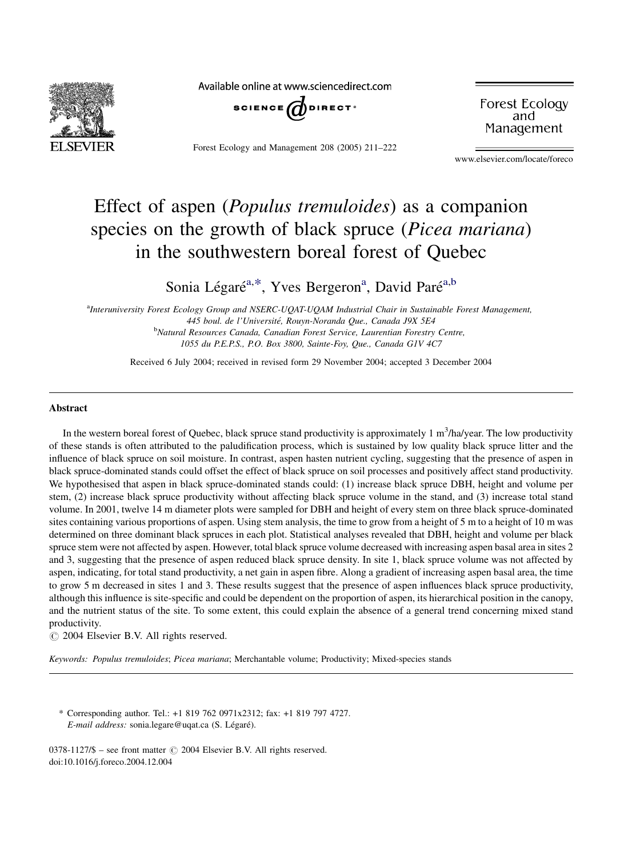

Available online at www.sciencedirect.com



Forest Ecology and Management 208 (2005) 211–222

Forest Ecology and Management

www.elsevier.com/locate/foreco

# Effect of aspen (Populus tremuloides) as a companion species on the growth of black spruce (*Picea mariana*) in the southwestern boreal forest of Quebec

## Sonia Légaré<sup>a,\*</sup>, Yves Bergeron<sup>a</sup>, David Paré<sup>a,b</sup>

<sup>a</sup>Interuniversity Forest Ecology Group and NSERC-UQAT-UQAM Industrial Chair in Sustainable Forest Management, 445 boul. de l'Université, Rouyn-Noranda Que., Canada J9X 5E4 **b**Natural Resources Canada, Canadian Forest Service, Laurentian Forestry Centre, 1055 du P.E.P.S., P.O. Box 3800, Sainte-Foy, Que., Canada G1V 4C7

Received 6 July 2004; received in revised form 29 November 2004; accepted 3 December 2004

## Abstract

In the western boreal forest of Quebec, black spruce stand productivity is approximately 1  $m^3/ha/year$ . The low productivity of these stands is often attributed to the paludification process, which is sustained by low quality black spruce litter and the influence of black spruce on soil moisture. In contrast, aspen hasten nutrient cycling, suggesting that the presence of aspen in black spruce-dominated stands could offset the effect of black spruce on soil processes and positively affect stand productivity. We hypothesised that aspen in black spruce-dominated stands could: (1) increase black spruce DBH, height and volume per stem, (2) increase black spruce productivity without affecting black spruce volume in the stand, and (3) increase total stand volume. In 2001, twelve 14 m diameter plots were sampled for DBH and height of every stem on three black spruce-dominated sites containing various proportions of aspen. Using stem analysis, the time to grow from a height of 5 m to a height of 10 m was determined on three dominant black spruces in each plot. Statistical analyses revealed that DBH, height and volume per black spruce stem were not affected by aspen. However, total black spruce volume decreased with increasing aspen basal area in sites 2 and 3, suggesting that the presence of aspen reduced black spruce density. In site 1, black spruce volume was not affected by aspen, indicating, for total stand productivity, a net gain in aspen fibre. Along a gradient of increasing aspen basal area, the time to grow 5 m decreased in sites 1 and 3. These results suggest that the presence of aspen influences black spruce productivity, although this influence is site-specific and could be dependent on the proportion of aspen, its hierarchical position in the canopy, and the nutrient status of the site. To some extent, this could explain the absence of a general trend concerning mixed stand productivity.

 $\circ$  2004 Elsevier B.V. All rights reserved.

Keywords: Populus tremuloides; Picea mariana; Merchantable volume; Productivity; Mixed-species stands

\* Corresponding author. Tel.: +1 819 762 0971x2312; fax: +1 819 797 4727. E-mail address: sonia.legare@uqat.ca (S. Légaré).

0378-1127/\$ – see front matter © 2004 Elsevier B.V. All rights reserved. doi:10.1016/j.foreco.2004.12.004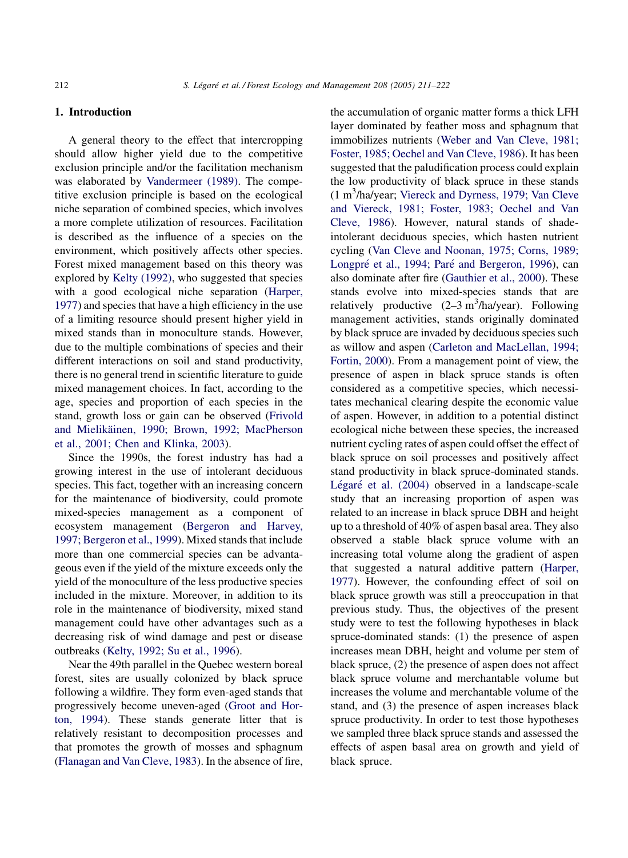## 1. Introduction

A general theory to the effect that intercropping should allow higher yield due to the competitive exclusion principle and/or the facilitation mechanism was elaborated by [Vandermeer \(1989\)](#page-11-0). The competitive exclusion principle is based on the ecological niche separation of combined species, which involves a more complete utilization of resources. Facilitation is described as the influence of a species on the environment, which positively affects other species. Forest mixed management based on this theory was explored by [Kelty \(1992\),](#page-11-0) who suggested that species with a good ecological niche separation ([Harper,](#page-11-0) [1977](#page-11-0)) and species that have a high efficiency in the use of a limiting resource should present higher yield in mixed stands than in monoculture stands. However, due to the multiple combinations of species and their different interactions on soil and stand productivity, there is no general trend in scientific literature to guide mixed management choices. In fact, according to the age, species and proportion of each species in the stand, growth loss or gain can be observed ([Frivold](#page-11-0) and Mielikäinen, 1990; Brown, 1992; MacPherson [et al., 2001; Chen and Klinka, 2003\)](#page-11-0).

Since the 1990s, the forest industry has had a growing interest in the use of intolerant deciduous species. This fact, together with an increasing concern for the maintenance of biodiversity, could promote mixed-species management as a component of ecosystem management ([Bergeron and Harvey,](#page-10-0) [1997; Bergeron et al., 1999](#page-10-0)). Mixed stands that include more than one commercial species can be advantageous even if the yield of the mixture exceeds only the yield of the monoculture of the less productive species included in the mixture. Moreover, in addition to its role in the maintenance of biodiversity, mixed stand management could have other advantages such as a decreasing risk of wind damage and pest or disease outbreaks ([Kelty, 1992; Su et al., 1996](#page-11-0)).

Near the 49th parallel in the Quebec western boreal forest, sites are usually colonized by black spruce following a wildfire. They form even-aged stands that progressively become uneven-aged [\(Groot and Hor](#page-11-0)[ton, 1994\)](#page-11-0). These stands generate litter that is relatively resistant to decomposition processes and that promotes the growth of mosses and sphagnum ([Flanagan and Van Cleve, 1983\)](#page-10-0). In the absence of fire,

the accumulation of organic matter forms a thick LFH layer dominated by feather moss and sphagnum that immobilizes nutrients [\(Weber and Van Cleve, 1981;](#page-11-0) [Foster, 1985; Oechel and Van Cleve, 1986\)](#page-11-0). It has been suggested that the paludification process could explain the low productivity of black spruce in these stands (1 m3 /ha/year; [Viereck and Dyrness, 1979; Van Cleve](#page-11-0) [and Viereck, 1981; Foster, 1983; Oechel and Van](#page-11-0) [Cleve, 1986](#page-11-0)). However, natural stands of shadeintolerant deciduous species, which hasten nutrient cycling ([Van Cleve and Noonan, 1975; Corns, 1989;](#page-11-0) Longpré et al., 1994; Paré [and Bergeron, 1996\)](#page-11-0), can also dominate after fire [\(Gauthier et al., 2000](#page-11-0)). These stands evolve into mixed-species stands that are relatively productive  $(2-3 \text{ m}^3/\text{h}a/\text{year})$ . Following management activities, stands originally dominated by black spruce are invaded by deciduous species such as willow and aspen ([Carleton and MacLellan, 1994;](#page-10-0) [Fortin, 2000](#page-10-0)). From a management point of view, the presence of aspen in black spruce stands is often considered as a competitive species, which necessitates mechanical clearing despite the economic value of aspen. However, in addition to a potential distinct ecological niche between these species, the increased nutrient cycling rates of aspen could offset the effect of black spruce on soil processes and positively affect stand productivity in black spruce-dominated stands. Légaré [et al. \(2004\)](#page-11-0) observed in a landscape-scale study that an increasing proportion of aspen was related to an increase in black spruce DBH and height up to a threshold of 40% of aspen basal area. They also observed a stable black spruce volume with an increasing total volume along the gradient of aspen that suggested a natural additive pattern ([Harper,](#page-11-0) [1977](#page-11-0)). However, the confounding effect of soil on black spruce growth was still a preoccupation in that previous study. Thus, the objectives of the present study were to test the following hypotheses in black spruce-dominated stands: (1) the presence of aspen increases mean DBH, height and volume per stem of black spruce, (2) the presence of aspen does not affect black spruce volume and merchantable volume but increases the volume and merchantable volume of the stand, and (3) the presence of aspen increases black spruce productivity. In order to test those hypotheses we sampled three black spruce stands and assessed the effects of aspen basal area on growth and yield of black spruce.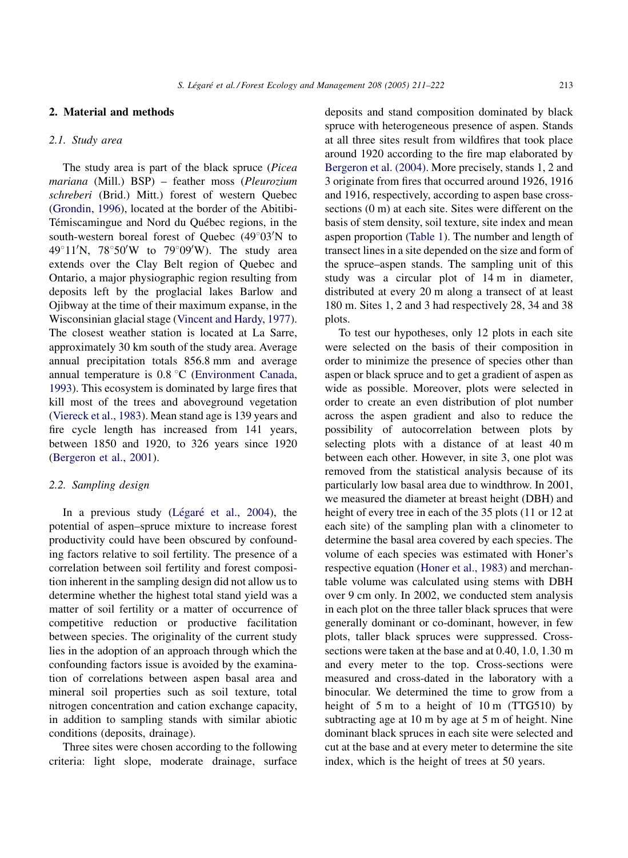#### 2. Material and methods

## 2.1. Study area

The study area is part of the black spruce (Picea mariana (Mill.) BSP) – feather moss (Pleurozium schreberi (Brid.) Mitt.) forest of western Quebec ([Grondin, 1996](#page-11-0)), located at the border of the Abitibi-Témiscamingue and Nord du Québec regions, in the south-western boreal forest of Quebec (49°03'N to  $49^{\circ}11'$ N,  $78^{\circ}50'$ W to  $79^{\circ}09'$ W). The study area extends over the Clay Belt region of Quebec and Ontario, a major physiographic region resulting from deposits left by the proglacial lakes Barlow and Ojibway at the time of their maximum expanse, in the Wisconsinian glacial stage [\(Vincent and Hardy, 1977\)](#page-11-0). The closest weather station is located at La Sarre, approximately 30 km south of the study area. Average annual precipitation totals 856.8 mm and average annual temperature is  $0.8\degree C$  [\(Environment Canada,](#page-10-0) [1993](#page-10-0)). This ecosystem is dominated by large fires that kill most of the trees and aboveground vegetation ([Viereck et al., 1983\)](#page-11-0). Mean stand age is 139 years and fire cycle length has increased from 141 years, between 1850 and 1920, to 326 years since 1920 ([Bergeron et al., 2001](#page-10-0)).

## 2.2. Sampling design

In a previous study (Légaré [et al., 2004\)](#page-11-0), the potential of aspen–spruce mixture to increase forest productivity could have been obscured by confounding factors relative to soil fertility. The presence of a correlation between soil fertility and forest composition inherent in the sampling design did not allow us to determine whether the highest total stand yield was a matter of soil fertility or a matter of occurrence of competitive reduction or productive facilitation between species. The originality of the current study lies in the adoption of an approach through which the confounding factors issue is avoided by the examination of correlations between aspen basal area and mineral soil properties such as soil texture, total nitrogen concentration and cation exchange capacity, in addition to sampling stands with similar abiotic conditions (deposits, drainage).

Three sites were chosen according to the following criteria: light slope, moderate drainage, surface

deposits and stand composition dominated by black spruce with heterogeneous presence of aspen. Stands at all three sites result from wildfires that took place around 1920 according to the fire map elaborated by [Bergeron et al. \(2004\)](#page-10-0). More precisely, stands 1, 2 and 3 originate from fires that occurred around 1926, 1916 and 1916, respectively, according to aspen base crosssections (0 m) at each site. Sites were different on the basis of stem density, soil texture, site index and mean aspen proportion ([Table 1\)](#page-3-0). The number and length of transect lines in a site depended on the size and form of the spruce–aspen stands. The sampling unit of this study was a circular plot of 14 m in diameter, distributed at every 20 m along a transect of at least 180 m. Sites 1, 2 and 3 had respectively 28, 34 and 38 plots.

To test our hypotheses, only 12 plots in each site were selected on the basis of their composition in order to minimize the presence of species other than aspen or black spruce and to get a gradient of aspen as wide as possible. Moreover, plots were selected in order to create an even distribution of plot number across the aspen gradient and also to reduce the possibility of autocorrelation between plots by selecting plots with a distance of at least 40 m between each other. However, in site 3, one plot was removed from the statistical analysis because of its particularly low basal area due to windthrow. In 2001, we measured the diameter at breast height (DBH) and height of every tree in each of the 35 plots (11 or 12 at each site) of the sampling plan with a clinometer to determine the basal area covered by each species. The volume of each species was estimated with Honer's respective equation ([Honer et al., 1983](#page-11-0)) and merchantable volume was calculated using stems with DBH over 9 cm only. In 2002, we conducted stem analysis in each plot on the three taller black spruces that were generally dominant or co-dominant, however, in few plots, taller black spruces were suppressed. Crosssections were taken at the base and at 0.40, 1.0, 1.30 m and every meter to the top. Cross-sections were measured and cross-dated in the laboratory with a binocular. We determined the time to grow from a height of 5 m to a height of 10 m (TTG510) by subtracting age at 10 m by age at 5 m of height. Nine dominant black spruces in each site were selected and cut at the base and at every meter to determine the site index, which is the height of trees at 50 years.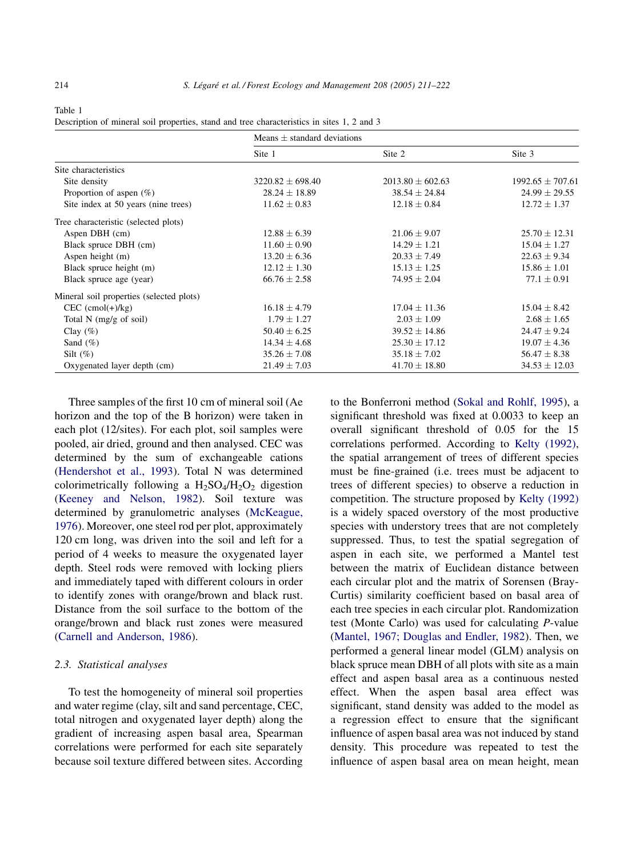|                                          | Means $\pm$ standard deviations |                      |                      |  |
|------------------------------------------|---------------------------------|----------------------|----------------------|--|
|                                          | Site 1                          | Site 2               | Site 3               |  |
| Site characteristics                     |                                 |                      |                      |  |
| Site density                             | $3220.82 \pm 698.40$            | $2013.80 \pm 602.63$ | $1992.65 \pm 707.61$ |  |
| Proportion of aspen $(\% )$              | $28.24 \pm 18.89$               | $38.54 \pm 24.84$    | $24.99 \pm 29.55$    |  |
| Site index at 50 years (nine trees)      | $11.62 \pm 0.83$                | $12.18 \pm 0.84$     | $12.72 \pm 1.37$     |  |
| Tree characteristic (selected plots)     |                                 |                      |                      |  |
| Aspen DBH (cm)                           | $12.88 \pm 6.39$                | $21.06 \pm 9.07$     | $25.70 \pm 12.31$    |  |
| Black spruce DBH (cm)                    | $11.60 \pm 0.90$                | $14.29 \pm 1.21$     | $15.04 \pm 1.27$     |  |
| Aspen height (m)                         | $13.20 \pm 6.36$                | $20.33 \pm 7.49$     | $22.63 \pm 9.34$     |  |
| Black spruce height (m)                  | $12.12 \pm 1.30$                | $15.13 \pm 1.25$     | $15.86 \pm 1.01$     |  |
| Black spruce age (year)                  | $66.76 \pm 2.58$                | $74.95 \pm 2.04$     | $77.1 \pm 0.91$      |  |
| Mineral soil properties (selected plots) |                                 |                      |                      |  |
| $CEC$ (cmol(+)/kg)                       | $16.18 \pm 4.79$                | $17.04 + 11.36$      | $15.04 \pm 8.42$     |  |
| Total $N$ (mg/g of soil)                 | $1.79 \pm 1.27$                 | $2.03 \pm 1.09$      | $2.68 \pm 1.65$      |  |
| Clay $(\%)$                              | $50.40 \pm 6.25$                | $39.52 \pm 14.86$    | $24.47 \pm 9.24$     |  |
| Sand $(\% )$                             | $14.34 \pm 4.68$                | $25.30 \pm 17.12$    | $19.07 \pm 4.36$     |  |
| Silt $(\%)$                              | $35.26 \pm 7.08$                | $35.18 \pm 7.02$     | $56.47 \pm 8.38$     |  |
| Oxygenated layer depth (cm)              | $21.49 \pm 7.03$                | $41.70 \pm 18.80$    | $34.53 \pm 12.03$    |  |

<span id="page-3-0"></span>Table 1

| Description of mineral soil properties, stand and tree characteristics in sites 1, 2 and 3 |  |  |
|--------------------------------------------------------------------------------------------|--|--|
|--------------------------------------------------------------------------------------------|--|--|

Three samples of the first 10 cm of mineral soil (Ae horizon and the top of the B horizon) were taken in each plot (12/sites). For each plot, soil samples were pooled, air dried, ground and then analysed. CEC was determined by the sum of exchangeable cations ([Hendershot et al., 1993](#page-11-0)). Total N was determined colorimetrically following a  $H_2SO_4/H_2O_2$  digestion ([Keeney and Nelson, 1982\)](#page-11-0). Soil texture was determined by granulometric analyses [\(McKeague,](#page-11-0) [1976](#page-11-0)). Moreover, one steel rod per plot, approximately 120 cm long, was driven into the soil and left for a period of 4 weeks to measure the oxygenated layer depth. Steel rods were removed with locking pliers and immediately taped with different colours in order to identify zones with orange/brown and black rust. Distance from the soil surface to the bottom of the orange/brown and black rust zones were measured ([Carnell and Anderson, 1986\)](#page-10-0).

#### 2.3. Statistical analyses

To test the homogeneity of mineral soil properties and water regime (clay, silt and sand percentage, CEC, total nitrogen and oxygenated layer depth) along the gradient of increasing aspen basal area, Spearman correlations were performed for each site separately because soil texture differed between sites. According to the Bonferroni method [\(Sokal and Rohlf, 1995](#page-11-0)), a significant threshold was fixed at 0.0033 to keep an overall significant threshold of 0.05 for the 15 correlations performed. According to [Kelty \(1992\)](#page-11-0), the spatial arrangement of trees of different species must be fine-grained (i.e. trees must be adjacent to trees of different species) to observe a reduction in competition. The structure proposed by [Kelty \(1992\)](#page-11-0) is a widely spaced overstory of the most productive species with understory trees that are not completely suppressed. Thus, to test the spatial segregation of aspen in each site, we performed a Mantel test between the matrix of Euclidean distance between each circular plot and the matrix of Sorensen (Bray-Curtis) similarity coefficient based on basal area of each tree species in each circular plot. Randomization test (Monte Carlo) was used for calculating P-value ([Mantel, 1967; Douglas and Endler, 1982](#page-11-0)). Then, we performed a general linear model (GLM) analysis on black spruce mean DBH of all plots with site as a main effect and aspen basal area as a continuous nested effect. When the aspen basal area effect was significant, stand density was added to the model as a regression effect to ensure that the significant influence of aspen basal area was not induced by stand density. This procedure was repeated to test the influence of aspen basal area on mean height, mean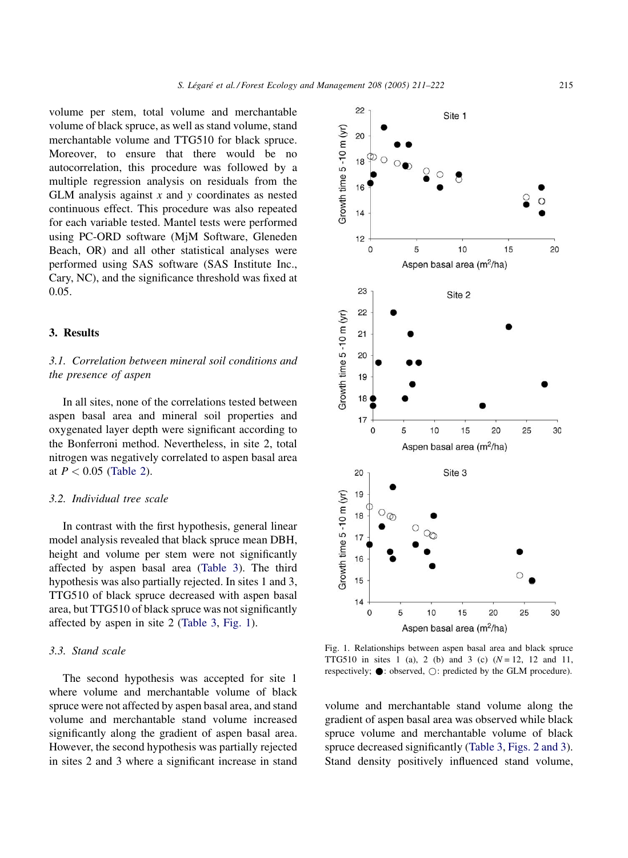volume per stem, total volume and merchantable volume of black spruce, as well as stand volume, stand merchantable volume and TTG510 for black spruce. Moreover, to ensure that there would be no autocorrelation, this procedure was followed by a multiple regression analysis on residuals from the GLM analysis against  $x$  and  $y$  coordinates as nested continuous effect. This procedure was also repeated for each variable tested. Mantel tests were performed using PC-ORD software (MjM Software, Gleneden Beach, OR) and all other statistical analyses were performed using SAS software (SAS Institute Inc., Cary, NC), and the significance threshold was fixed at 0.05.

## 3. Results

## 3.1. Correlation between mineral soil conditions and the presence of aspen

In all sites, none of the correlations tested between aspen basal area and mineral soil properties and oxygenated layer depth were significant according to the Bonferroni method. Nevertheless, in site 2, total nitrogen was negatively correlated to aspen basal area at  $P < 0.05$  [\(Table 2](#page-5-0)).

## 3.2. Individual tree scale

In contrast with the first hypothesis, general linear model analysis revealed that black spruce mean DBH, height and volume per stem were not significantly affected by aspen basal area [\(Table 3\)](#page-5-0). The third hypothesis was also partially rejected. In sites 1 and 3, TTG510 of black spruce decreased with aspen basal area, but TTG510 of black spruce was not significantly affected by aspen in site 2 [\(Table 3,](#page-5-0) Fig. 1).

## 3.3. Stand scale

The second hypothesis was accepted for site 1 where volume and merchantable volume of black spruce were not affected by aspen basal area, and stand volume and merchantable stand volume increased significantly along the gradient of aspen basal area. However, the second hypothesis was partially rejected in sites 2 and 3 where a significant increase in stand



Fig. 1. Relationships between aspen basal area and black spruce TTG510 in sites 1 (a), 2 (b) and 3 (c)  $(N = 12, 12$  and 11, respectively;  $\bullet$ : observed,  $\bigcirc$ : predicted by the GLM procedure).

volume and merchantable stand volume along the gradient of aspen basal area was observed while black spruce volume and merchantable volume of black spruce decreased significantly [\(Table 3,](#page-5-0) [Figs. 2 and 3](#page-6-0)). Stand density positively influenced stand volume,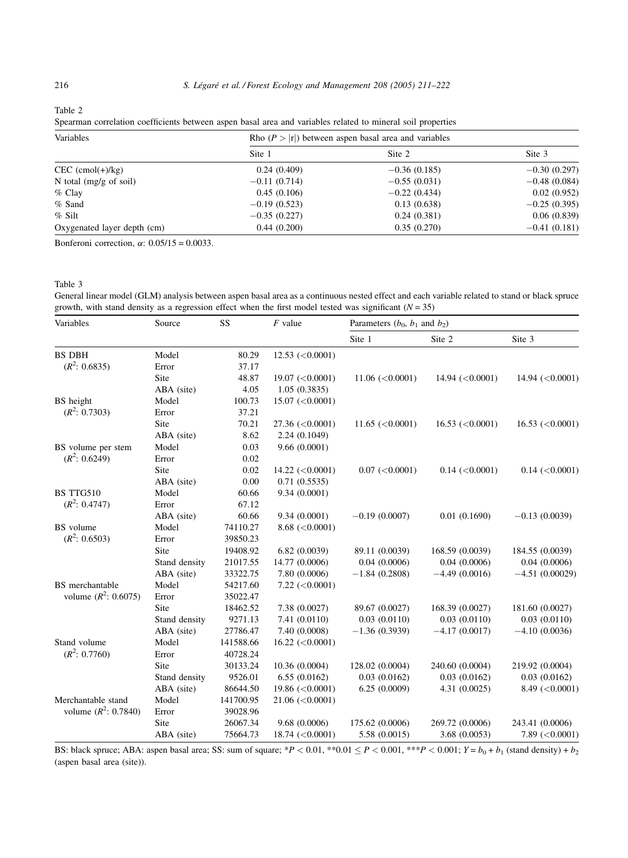<span id="page-5-0"></span>Table 2

Spearman correlation coefficients between aspen basal area and variables related to mineral soil properties

| Variables                        | Rho $(P >  r )$ between aspen basal area and variables |                |                |  |
|----------------------------------|--------------------------------------------------------|----------------|----------------|--|
|                                  | Site 1                                                 | Site 2         | Site 3         |  |
| $CEC$ (cmol(+)/kg)               | 0.24(0.409)                                            | $-0.36(0.185)$ | $-0.30(0.297)$ |  |
| N total $(mg/g \text{ of soil})$ | $-0.11(0.714)$                                         | $-0.55(0.031)$ | $-0.48(0.084)$ |  |
| $%$ Clay                         | 0.45(0.106)                                            | $-0.22(0.434)$ | 0.02(0.952)    |  |
| $%$ Sand                         | $-0.19(0.523)$                                         | 0.13(0.638)    | $-0.25(0.395)$ |  |
| $%$ Silt                         | $-0.35(0.227)$                                         | 0.24(0.381)    | 0.06(0.839)    |  |
| Oxygenated layer depth (cm)      | 0.44(0.200)                                            | 0.35(0.270)    | $-0.41(0.181)$ |  |

Bonferoni correction,  $\alpha$ : 0.05/15 = 0.0033.

General linear model (GLM) analysis between aspen basal area as a continuous nested effect and each variable related to stand or black spruce growth, with stand density as a regression effect when the first model tested was significant ( $N = 35$ )

| Variables              | Source        | SS        | $F$ value                          | Parameters $(b_0, b_1$ and $b_2$ ) |                      |                      |
|------------------------|---------------|-----------|------------------------------------|------------------------------------|----------------------|----------------------|
|                        |               |           |                                    | Site 1                             | Site 2               | Site 3               |
| <b>BS DBH</b>          | Model         | 80.29     | $12.53 \left( \leq 0.0001 \right)$ |                                    |                      |                      |
| $(R^2: 0.6835)$        | Error         | 37.17     |                                    |                                    |                      |                      |
|                        | Site          | 48.87     | 19.07 $(<0.0001)$                  | 11.06 (< 0.0001)                   | 14.94 (< 0.0001)     | 14.94 $(<0.0001)$    |
|                        | ABA (site)    | 4.05      | 1.05(0.3835)                       |                                    |                      |                      |
| BS height              | Model         | 100.73    | 15.07 (< 0.0001)                   |                                    |                      |                      |
| $(R^2: 0.7303)$        | Error         | 37.21     |                                    |                                    |                      |                      |
|                        | Site          | 70.21     | $27.36 \; (<0.0001)$               | 11.65 $(<0.0001)$                  | 16.53 $(<0.0001)$    | 16.53 $(<0.0001)$    |
|                        | ABA (site)    | 8.62      | 2.24(0.1049)                       |                                    |                      |                      |
| BS volume per stem     | Model         | 0.03      | 9.66(0.0001)                       |                                    |                      |                      |
| $(R^2: 0.6249)$        | Error         | 0.02      |                                    |                                    |                      |                      |
|                        | Site          | 0.02      | $14.22 \left( \leq 0.0001 \right)$ | 0.07 (< 0.0001)                    | $0.14$ (< $0.0001$ ) | $0.14$ (< $0.0001$ ) |
|                        | ABA (site)    | 0.00      | 0.71(0.5535)                       |                                    |                      |                      |
| <b>BS TTG510</b>       | Model         | 60.66     | 9.34 (0.0001)                      |                                    |                      |                      |
| $(R^2: 0.4747)$        | Error         | 67.12     |                                    |                                    |                      |                      |
|                        | ABA (site)    | 60.66     | 9.34 (0.0001)                      | $-0.19(0.0007)$                    | 0.01(0.1690)         | $-0.13(0.0039)$      |
| BS volume              | Model         | 74110.27  | 8.68 (< 0.0001)                    |                                    |                      |                      |
| $(R^2: 0.6503)$        | Error         | 39850.23  |                                    |                                    |                      |                      |
|                        | Site          | 19408.92  | 6.82(0.0039)                       | 89.11 (0.0039)                     | 168.59 (0.0039)      | 184.55 (0.0039)      |
|                        | Stand density | 21017.55  | 14.77 (0.0006)                     | 0.04(0.0006)                       | 0.04(0.0006)         | 0.04(0.0006)         |
|                        | ABA (site)    | 33322.75  | 7.80 (0.0006)                      | $-1.84(0.2808)$                    | $-4.49(0.0016)$      | $-4.51(0.00029)$     |
| <b>BS</b> merchantable | Model         | 54217.60  | $7.22 \, \text{(<)} 0.0001$        |                                    |                      |                      |
| volume $(R^2: 0.6075)$ | Error         | 35022.47  |                                    |                                    |                      |                      |
|                        | Site          | 18462.52  | 7.38 (0.0027)                      | 89.67 (0.0027)                     | 168.39 (0.0027)      | 181.60 (0.0027)      |
|                        | Stand density | 9271.13   | 7.41 (0.0110)                      | 0.03(0.0110)                       | 0.03(0.0110)         | 0.03(0.0110)         |
|                        | ABA (site)    | 27786.47  | 7.40 (0.0008)                      | $-1.36(0.3939)$                    | $-4.17(0.0017)$      | $-4.10(0.0036)$      |
| Stand volume           | Model         | 141588.66 | $16.22 \; (<0.0001)$               |                                    |                      |                      |
| $(R^2: 0.7760)$        | Error         | 40728.24  |                                    |                                    |                      |                      |
|                        | Site          | 30133.24  | 10.36 (0.0004)                     | 128.02 (0.0004)                    | 240.60 (0.0004)      | 219.92 (0.0004)      |
|                        | Stand density | 9526.01   | 6.55(0.0162)                       | 0.03(0.0162)                       | 0.03(0.0162)         | 0.03(0.0162)         |
|                        | ABA (site)    | 86644.50  | 19.86 $(<0.0001$ )                 | 6.25(0.0009)                       | 4.31(0.0025)         | 8.49 (< 0.0001)      |
| Merchantable stand     | Model         | 141700.95 | 21.06 (< 0.0001)                   |                                    |                      |                      |
| volume $(R^2: 0.7840)$ | Error         | 39028.96  |                                    |                                    |                      |                      |
|                        | Site          | 26067.34  | 9.68(0.0006)                       | 175.62 (0.0006)                    | 269.72 (0.0006)      | 243.41 (0.0006)      |
|                        | ABA (site)    | 75664.73  | 18.74 $(<0.0001$ )                 | 5.58 (0.0015)                      | 3.68 (0.0053)        | $7.89$ (<0.0001)     |

BS: black spruce; ABA: aspen basal area; SS: sum of square; \*P < 0.01, \*\*0.01  $\leq P$  < 0.001, \*\*\*P < 0.001;  $Y = b_0 + b_1$  (stand density) +  $b_2$ (aspen basal area (site)).

Table 3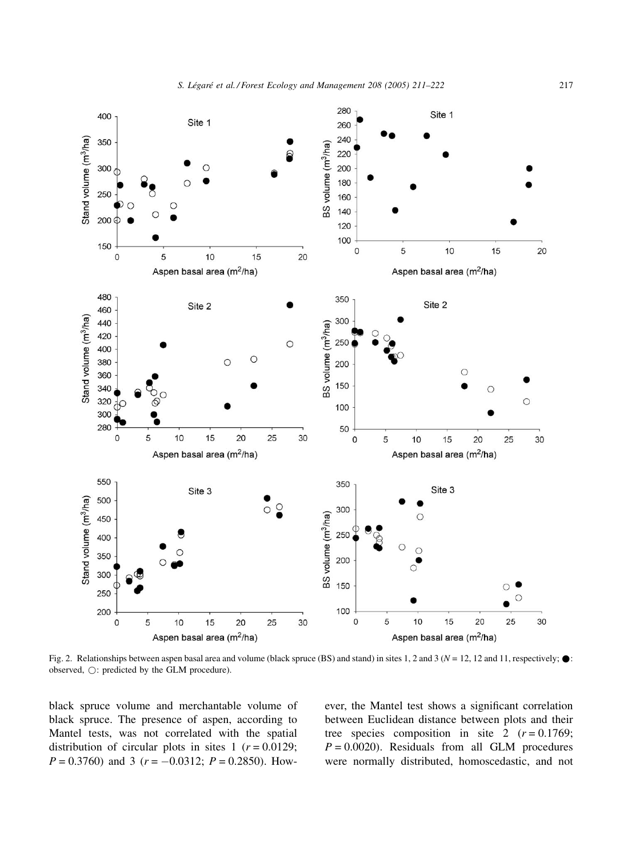<span id="page-6-0"></span>

Fig. 2. Relationships between aspen basal area and volume (black spruce (BS) and stand) in sites 1, 2 and 3 ( $N = 12$ , 12 and 11, respectively;  $\bullet$ : observed,  $\bigcirc$ : predicted by the GLM procedure).

black spruce volume and merchantable volume of black spruce. The presence of aspen, according to Mantel tests, was not correlated with the spatial distribution of circular plots in sites 1 ( $r = 0.0129$ ;  $P = 0.3760$  and 3 ( $r = -0.0312$ ;  $P = 0.2850$ ). However, the Mantel test shows a significant correlation between Euclidean distance between plots and their tree species composition in site  $2 (r = 0.1769)$ ;  $P = 0.0020$ . Residuals from all GLM procedures were normally distributed, homoscedastic, and not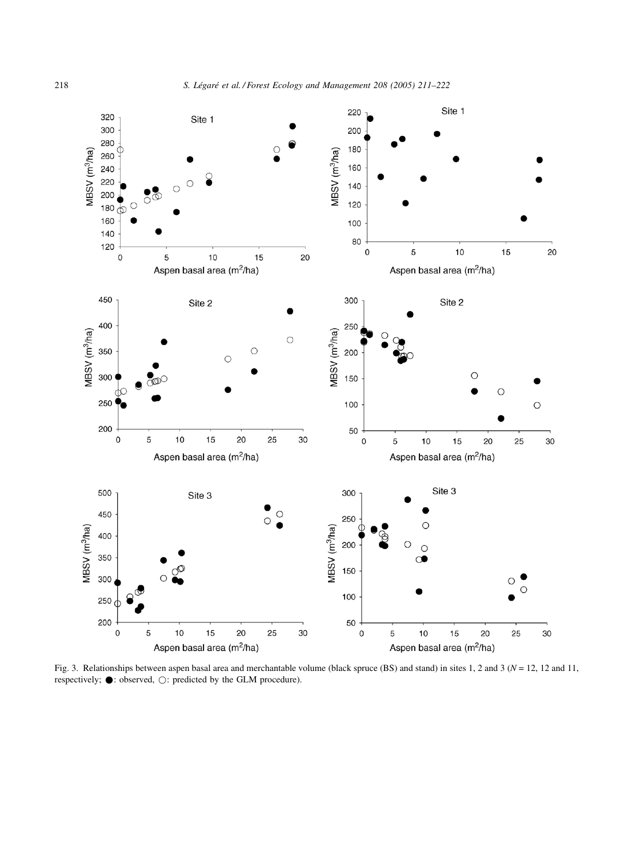<span id="page-7-0"></span>

Fig. 3. Relationships between aspen basal area and merchantable volume (black spruce (BS) and stand) in sites 1, 2 and 3 ( $N = 12$ , 12 and 11, respectively;  $\bullet$ : observed,  $\bigcirc$ : predicted by the GLM procedure).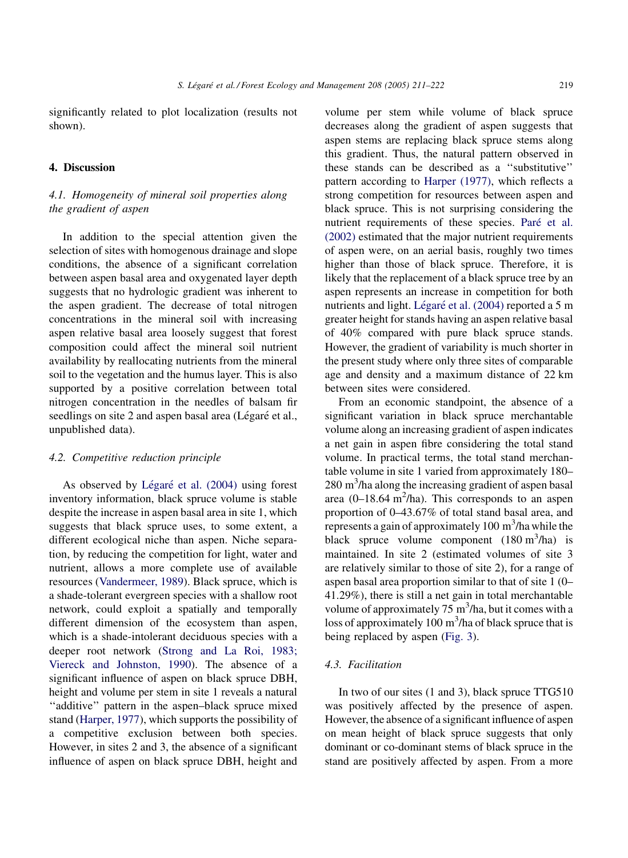significantly related to plot localization (results not shown).

## 4. Discussion

## 4.1. Homogeneity of mineral soil properties along the gradient of aspen

In addition to the special attention given the selection of sites with homogenous drainage and slope conditions, the absence of a significant correlation between aspen basal area and oxygenated layer depth suggests that no hydrologic gradient was inherent to the aspen gradient. The decrease of total nitrogen concentrations in the mineral soil with increasing aspen relative basal area loosely suggest that forest composition could affect the mineral soil nutrient availability by reallocating nutrients from the mineral soil to the vegetation and the humus layer. This is also supported by a positive correlation between total nitrogen concentration in the needles of balsam fir seedlings on site 2 and aspen basal area (Légaré et al., unpublished data).

## 4.2. Competitive reduction principle

As observed by Légaré et al.  $(2004)$  using forest inventory information, black spruce volume is stable despite the increase in aspen basal area in site 1, which suggests that black spruce uses, to some extent, a different ecological niche than aspen. Niche separation, by reducing the competition for light, water and nutrient, allows a more complete use of available resources [\(Vandermeer, 1989](#page-11-0)). Black spruce, which is a shade-tolerant evergreen species with a shallow root network, could exploit a spatially and temporally different dimension of the ecosystem than aspen, which is a shade-intolerant deciduous species with a deeper root network ([Strong and La Roi, 1983;](#page-11-0) [Viereck and Johnston, 1990\)](#page-11-0). The absence of a significant influence of aspen on black spruce DBH, height and volume per stem in site 1 reveals a natural ''additive'' pattern in the aspen–black spruce mixed stand [\(Harper, 1977](#page-11-0)), which supports the possibility of a competitive exclusion between both species. However, in sites 2 and 3, the absence of a significant influence of aspen on black spruce DBH, height and volume per stem while volume of black spruce decreases along the gradient of aspen suggests that aspen stems are replacing black spruce stems along this gradient. Thus, the natural pattern observed in these stands can be described as a ''substitutive'' pattern according to [Harper \(1977\),](#page-11-0) which reflects a strong competition for resources between aspen and black spruce. This is not surprising considering the nutrient requirements of these species. Paré [et al.](#page-11-0) [\(2002\)](#page-11-0) estimated that the major nutrient requirements of aspen were, on an aerial basis, roughly two times higher than those of black spruce. Therefore, it is likely that the replacement of a black spruce tree by an aspen represents an increase in competition for both nutrients and light. Légaré [et al. \(2004\)](#page-11-0) reported a 5 m greater height for stands having an aspen relative basal of 40% compared with pure black spruce stands. However, the gradient of variability is much shorter in the present study where only three sites of comparable age and density and a maximum distance of 22 km between sites were considered.

From an economic standpoint, the absence of a significant variation in black spruce merchantable volume along an increasing gradient of aspen indicates a net gain in aspen fibre considering the total stand volume. In practical terms, the total stand merchantable volume in site 1 varied from approximately 180– 280 m3 /ha along the increasing gradient of aspen basal area  $(0-18.64 \text{ m}^2/\text{ha})$ . This corresponds to an aspen proportion of 0–43.67% of total stand basal area, and represents a gain of approximately 100 m<sup>3</sup>/ha while the black spruce volume component  $(180 \text{ m}^3/\text{ha})$  is maintained. In site 2 (estimated volumes of site 3 are relatively similar to those of site 2), for a range of aspen basal area proportion similar to that of site 1 (0– 41.29%), there is still a net gain in total merchantable volume of approximately  $75 \text{ m}^3$ /ha, but it comes with a loss of approximately  $100 \text{ m}^3$ /ha of black spruce that is being replaced by aspen ([Fig. 3\)](#page-7-0).

## 4.3. Facilitation

In two of our sites (1 and 3), black spruce TTG510 was positively affected by the presence of aspen. However, the absence of a significant influence of aspen on mean height of black spruce suggests that only dominant or co-dominant stems of black spruce in the stand are positively affected by aspen. From a more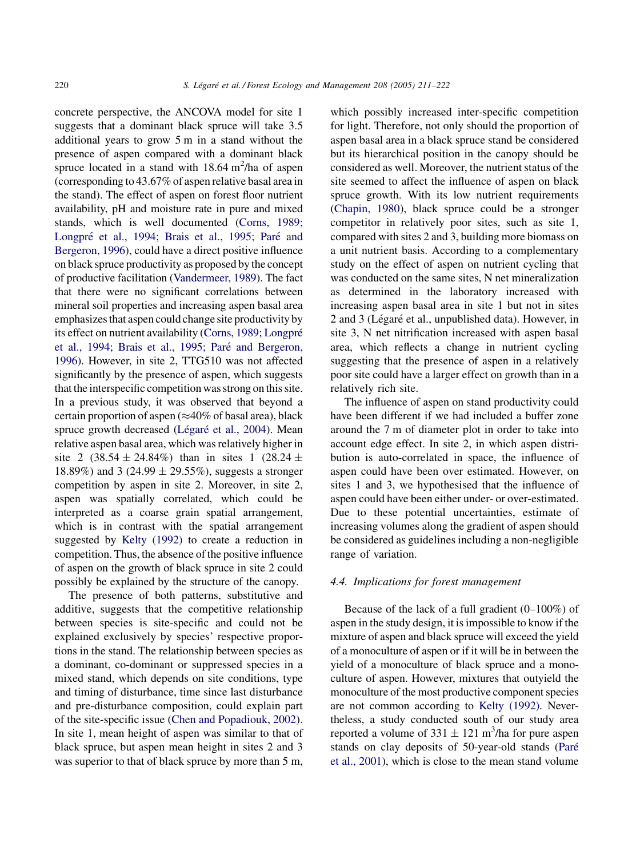concrete perspective, the ANCOVA model for site 1 suggests that a dominant black spruce will take 3.5 additional years to grow 5 m in a stand without the presence of aspen compared with a dominant black spruce located in a stand with  $18.64 \text{ m}^2/\text{ha}$  of aspen (corresponding to 43.67% of aspen relative basal area in the stand). The effect of aspen on forest floor nutrient availability, pH and moisture rate in pure and mixed stands, which is well documented [\(Corns, 1989;](#page-10-0) Longpré et al., 1994; Brais et al., 1995; Paré and [Bergeron, 1996\)](#page-10-0), could have a direct positive influence on black spruce productivity as proposed by the concept of productive facilitation [\(Vandermeer, 1989](#page-11-0)). The fact that there were no significant correlations between mineral soil properties and increasing aspen basal area emphasizes that aspen could change site productivity by its effect on nutrient availability (Corns, 1989; Longpré et al., 1994; Brais et al., 1995; Paré and Bergeron, [1996](#page-10-0)). However, in site 2, TTG510 was not affected significantly by the presence of aspen, which suggests that the interspecific competition was strong on this site. In a previous study, it was observed that beyond a certain proportion of aspen ( $\approx$ 40% of basal area), black spruce growth decreased (Légaré [et al., 2004\)](#page-11-0). Mean relative aspen basal area, which was relatively higher in site 2  $(38.54 \pm 24.84\%)$  than in sites 1  $(28.24 \pm 1.64\%)$ 18.89%) and 3 (24.99  $\pm$  29.55%), suggests a stronger competition by aspen in site 2. Moreover, in site 2, aspen was spatially correlated, which could be interpreted as a coarse grain spatial arrangement, which is in contrast with the spatial arrangement suggested by [Kelty \(1992\)](#page-11-0) to create a reduction in competition. Thus, the absence of the positive influence of aspen on the growth of black spruce in site 2 could possibly be explained by the structure of the canopy.

The presence of both patterns, substitutive and additive, suggests that the competitive relationship between species is site-specific and could not be explained exclusively by species' respective proportions in the stand. The relationship between species as a dominant, co-dominant or suppressed species in a mixed stand, which depends on site conditions, type and timing of disturbance, time since last disturbance and pre-disturbance composition, could explain part of the site-specific issue ([Chen and Popadiouk, 2002\)](#page-10-0). In site 1, mean height of aspen was similar to that of black spruce, but aspen mean height in sites 2 and 3 was superior to that of black spruce by more than 5 m,

which possibly increased inter-specific competition for light. Therefore, not only should the proportion of aspen basal area in a black spruce stand be considered but its hierarchical position in the canopy should be considered as well. Moreover, the nutrient status of the site seemed to affect the influence of aspen on black spruce growth. With its low nutrient requirements ([Chapin, 1980\)](#page-10-0), black spruce could be a stronger competitor in relatively poor sites, such as site 1, compared with sites 2 and 3, building more biomass on a unit nutrient basis. According to a complementary study on the effect of aspen on nutrient cycling that was conducted on the same sites, N net mineralization as determined in the laboratory increased with increasing aspen basal area in site 1 but not in sites 2 and 3 (Légaré et al., unpublished data). However, in site 3, N net nitrification increased with aspen basal area, which reflects a change in nutrient cycling suggesting that the presence of aspen in a relatively poor site could have a larger effect on growth than in a relatively rich site.

The influence of aspen on stand productivity could have been different if we had included a buffer zone around the 7 m of diameter plot in order to take into account edge effect. In site 2, in which aspen distribution is auto-correlated in space, the influence of aspen could have been over estimated. However, on sites 1 and 3, we hypothesised that the influence of aspen could have been either under- or over-estimated. Due to these potential uncertainties, estimate of increasing volumes along the gradient of aspen should be considered as guidelines including a non-negligible range of variation.

## 4.4. Implications for forest management

Because of the lack of a full gradient (0–100%) of aspen in the study design, it is impossible to know if the mixture of aspen and black spruce will exceed the yield of a monoculture of aspen or if it will be in between the yield of a monoculture of black spruce and a monoculture of aspen. However, mixtures that outyield the monoculture of the most productive component species are not common according to [Kelty \(1992\).](#page-11-0) Nevertheless, a study conducted south of our study area reported a volume of  $331 \pm 121$  m<sup>3</sup>/ha for pure aspen stands on clay deposits of 50-year-old stands (Paré [et al., 2001](#page-11-0)), which is close to the mean stand volume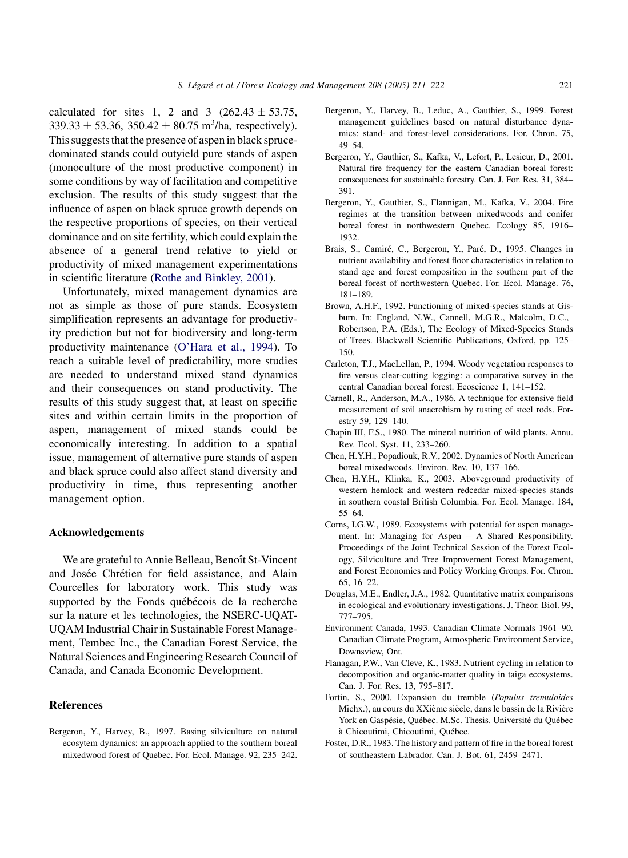<span id="page-10-0"></span>calculated for sites 1, 2 and 3  $(262.43 \pm 53.75,$  $339.33 \pm 53.36$ ,  $350.42 \pm 80.75$  m<sup>3</sup>/ha, respectively). This suggests that the presence of aspen in black sprucedominated stands could outyield pure stands of aspen (monoculture of the most productive component) in some conditions by way of facilitation and competitive exclusion. The results of this study suggest that the influence of aspen on black spruce growth depends on the respective proportions of species, on their vertical dominance and on site fertility, which could explain the absence of a general trend relative to yield or productivity of mixed management experimentations in scientific literature ([Rothe and Binkley, 2001](#page-11-0)).

Unfortunately, mixed management dynamics are not as simple as those of pure stands. Ecosystem simplification represents an advantage for productivity prediction but not for biodiversity and long-term productivity maintenance [\(O'Hara et al., 1994](#page-11-0)). To reach a suitable level of predictability, more studies are needed to understand mixed stand dynamics and their consequences on stand productivity. The results of this study suggest that, at least on specific sites and within certain limits in the proportion of aspen, management of mixed stands could be economically interesting. In addition to a spatial issue, management of alternative pure stands of aspen and black spruce could also affect stand diversity and productivity in time, thus representing another management option.

## Acknowledgements

We are grateful to Annie Belleau, Benoît St-Vincent and Josée Chrétien for field assistance, and Alain Courcelles for laboratory work. This study was supported by the Fonds québécois de la recherche sur la nature et les technologies, the NSERC-UQAT-UQAM Industrial Chair in Sustainable Forest Management, Tembec Inc., the Canadian Forest Service, the Natural Sciences and Engineering Research Council of Canada, and Canada Economic Development.

#### **References**

Bergeron, Y., Harvey, B., 1997. Basing silviculture on natural ecosytem dynamics: an approach applied to the southern boreal mixedwood forest of Quebec. For. Ecol. Manage. 92, 235–242.

- Bergeron, Y., Harvey, B., Leduc, A., Gauthier, S., 1999. Forest management guidelines based on natural disturbance dynamics: stand- and forest-level considerations. For. Chron. 75, 49–54.
- Bergeron, Y., Gauthier, S., Kafka, V., Lefort, P., Lesieur, D., 2001. Natural fire frequency for the eastern Canadian boreal forest: consequences for sustainable forestry. Can. J. For. Res. 31, 384– 391.
- Bergeron, Y., Gauthier, S., Flannigan, M., Kafka, V., 2004. Fire regimes at the transition between mixedwoods and conifer boreal forest in northwestern Quebec. Ecology 85, 1916– 1932.
- Brais, S., Camiré, C., Bergeron, Y., Paré, D., 1995. Changes in nutrient availability and forest floor characteristics in relation to stand age and forest composition in the southern part of the boreal forest of northwestern Quebec. For. Ecol. Manage. 76, 181–189.
- Brown, A.H.F., 1992. Functioning of mixed-species stands at Gisburn. In: England, N.W., Cannell, M.G.R., Malcolm, D.C., Robertson, P.A. (Eds.), The Ecology of Mixed-Species Stands of Trees. Blackwell Scientific Publications, Oxford, pp. 125– 150.
- Carleton, T.J., MacLellan, P., 1994. Woody vegetation responses to fire versus clear-cutting logging: a comparative survey in the central Canadian boreal forest. Ecoscience 1, 141–152.
- Carnell, R., Anderson, M.A., 1986. A technique for extensive field measurement of soil anaerobism by rusting of steel rods. Forestry 59, 129–140.
- Chapin III, F.S., 1980. The mineral nutrition of wild plants. Annu. Rev. Ecol. Syst. 11, 233–260.
- Chen, H.Y.H., Popadiouk, R.V., 2002. Dynamics of North American boreal mixedwoods. Environ. Rev. 10, 137–166.
- Chen, H.Y.H., Klinka, K., 2003. Aboveground productivity of western hemlock and western redcedar mixed-species stands in southern coastal British Columbia. For. Ecol. Manage. 184, 55–64.
- Corns, I.G.W., 1989. Ecosystems with potential for aspen management. In: Managing for Aspen – A Shared Responsibility. Proceedings of the Joint Technical Session of the Forest Ecology, Silviculture and Tree Improvement Forest Management, and Forest Economics and Policy Working Groups. For. Chron. 65, 16–22.
- Douglas, M.E., Endler, J.A., 1982. Quantitative matrix comparisons in ecological and evolutionary investigations. J. Theor. Biol. 99, 777–795.
- Environment Canada, 1993. Canadian Climate Normals 1961–90. Canadian Climate Program, Atmospheric Environment Service, Downsview, Ont.
- Flanagan, P.W., Van Cleve, K., 1983. Nutrient cycling in relation to decomposition and organic-matter quality in taiga ecosystems. Can. J. For. Res. 13, 795–817.
- Fortin, S., 2000. Expansion du tremble (Populus tremuloides Michx.), au cours du XXième siècle, dans le bassin de la Rivière York en Gaspésie, Québec. M.Sc. Thesis. Université du Québec à Chicoutimi, Chicoutimi, Québec.
- Foster, D.R., 1983. The history and pattern of fire in the boreal forest of southeastern Labrador. Can. J. Bot. 61, 2459–2471.